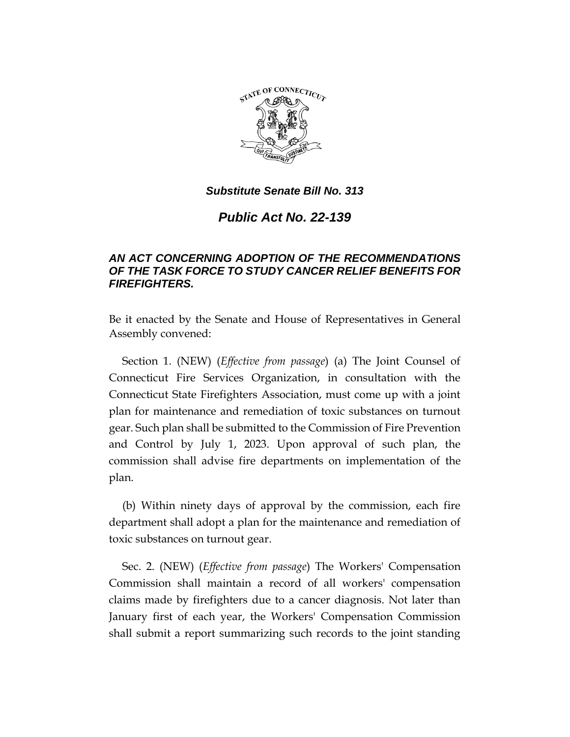

*Public Act No. 22-139*

# *AN ACT CONCERNING ADOPTION OF THE RECOMMENDATIONS OF THE TASK FORCE TO STUDY CANCER RELIEF BENEFITS FOR FIREFIGHTERS.*

Be it enacted by the Senate and House of Representatives in General Assembly convened:

Section 1. (NEW) (*Effective from passage*) (a) The Joint Counsel of Connecticut Fire Services Organization, in consultation with the Connecticut State Firefighters Association, must come up with a joint plan for maintenance and remediation of toxic substances on turnout gear. Such plan shall be submitted to the Commission of Fire Prevention and Control by July 1, 2023. Upon approval of such plan, the commission shall advise fire departments on implementation of the plan.

(b) Within ninety days of approval by the commission, each fire department shall adopt a plan for the maintenance and remediation of toxic substances on turnout gear.

Sec. 2. (NEW) (*Effective from passage*) The Workers' Compensation Commission shall maintain a record of all workers' compensation claims made by firefighters due to a cancer diagnosis. Not later than January first of each year, the Workers' Compensation Commission shall submit a report summarizing such records to the joint standing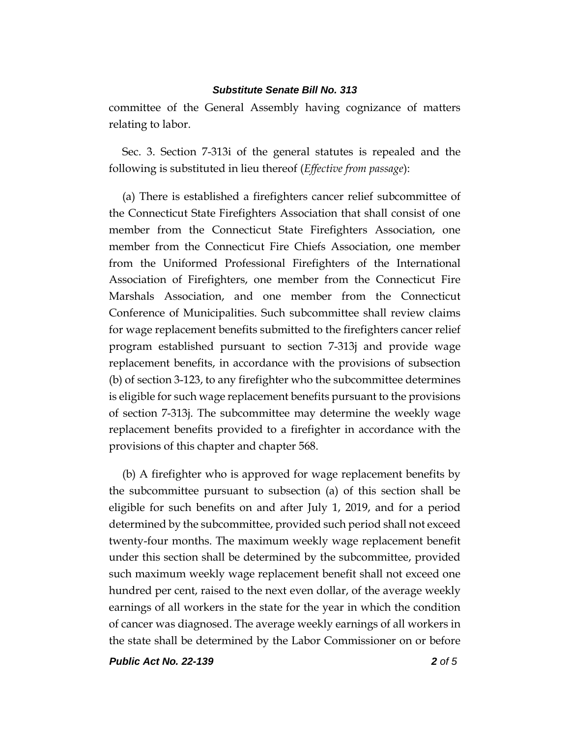committee of the General Assembly having cognizance of matters relating to labor.

Sec. 3. Section 7-313i of the general statutes is repealed and the following is substituted in lieu thereof (*Effective from passage*):

(a) There is established a firefighters cancer relief subcommittee of the Connecticut State Firefighters Association that shall consist of one member from the Connecticut State Firefighters Association, one member from the Connecticut Fire Chiefs Association, one member from the Uniformed Professional Firefighters of the International Association of Firefighters, one member from the Connecticut Fire Marshals Association, and one member from the Connecticut Conference of Municipalities. Such subcommittee shall review claims for wage replacement benefits submitted to the firefighters cancer relief program established pursuant to section 7-313j and provide wage replacement benefits, in accordance with the provisions of subsection (b) of section 3-123, to any firefighter who the subcommittee determines is eligible for such wage replacement benefits pursuant to the provisions of section 7-313j. The subcommittee may determine the weekly wage replacement benefits provided to a firefighter in accordance with the provisions of this chapter and chapter 568.

(b) A firefighter who is approved for wage replacement benefits by the subcommittee pursuant to subsection (a) of this section shall be eligible for such benefits on and after July 1, 2019, and for a period determined by the subcommittee, provided such period shall not exceed twenty-four months. The maximum weekly wage replacement benefit under this section shall be determined by the subcommittee, provided such maximum weekly wage replacement benefit shall not exceed one hundred per cent, raised to the next even dollar, of the average weekly earnings of all workers in the state for the year in which the condition of cancer was diagnosed. The average weekly earnings of all workers in the state shall be determined by the Labor Commissioner on or before

*Public Act No. 22-139 2 of 5*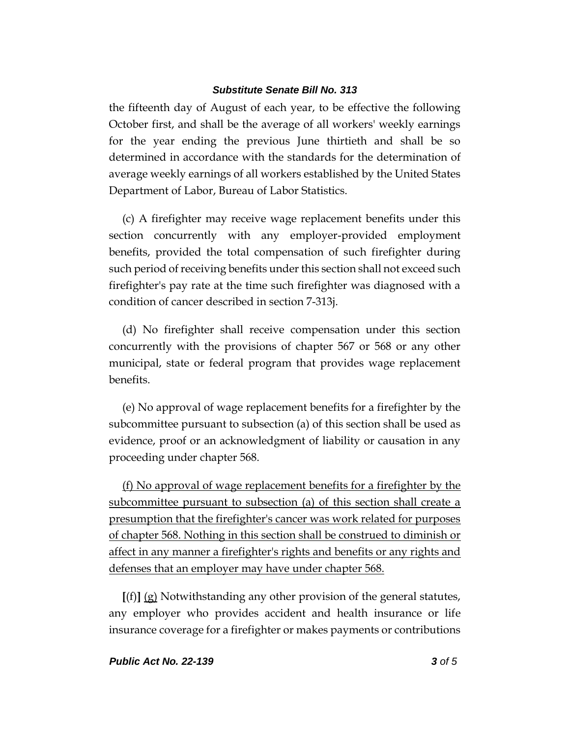the fifteenth day of August of each year, to be effective the following October first, and shall be the average of all workers' weekly earnings for the year ending the previous June thirtieth and shall be so determined in accordance with the standards for the determination of average weekly earnings of all workers established by the United States Department of Labor, Bureau of Labor Statistics.

(c) A firefighter may receive wage replacement benefits under this section concurrently with any employer-provided employment benefits, provided the total compensation of such firefighter during such period of receiving benefits under this section shall not exceed such firefighter's pay rate at the time such firefighter was diagnosed with a condition of cancer described in section 7-313j.

(d) No firefighter shall receive compensation under this section concurrently with the provisions of chapter 567 or 568 or any other municipal, state or federal program that provides wage replacement benefits.

(e) No approval of wage replacement benefits for a firefighter by the subcommittee pursuant to subsection (a) of this section shall be used as evidence, proof or an acknowledgment of liability or causation in any proceeding under chapter 568.

(f) No approval of wage replacement benefits for a firefighter by the subcommittee pursuant to subsection (a) of this section shall create a presumption that the firefighter's cancer was work related for purposes of chapter 568. Nothing in this section shall be construed to diminish or affect in any manner a firefighter's rights and benefits or any rights and defenses that an employer may have under chapter 568.

**[**(f)**]** (g) Notwithstanding any other provision of the general statutes, any employer who provides accident and health insurance or life insurance coverage for a firefighter or makes payments or contributions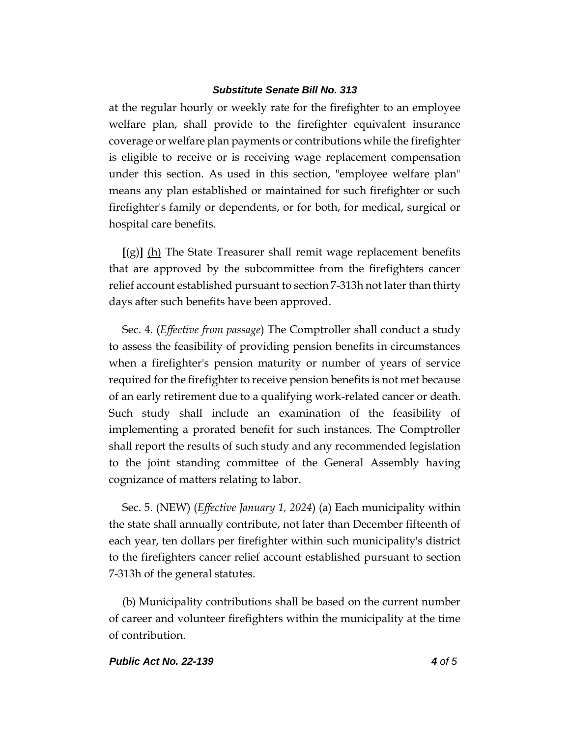at the regular hourly or weekly rate for the firefighter to an employee welfare plan, shall provide to the firefighter equivalent insurance coverage or welfare plan payments or contributions while the firefighter is eligible to receive or is receiving wage replacement compensation under this section. As used in this section, "employee welfare plan" means any plan established or maintained for such firefighter or such firefighter's family or dependents, or for both, for medical, surgical or hospital care benefits.

**[**(g)**]** (h) The State Treasurer shall remit wage replacement benefits that are approved by the subcommittee from the firefighters cancer relief account established pursuant to section 7-313h not later than thirty days after such benefits have been approved.

Sec. 4. (*Effective from passage*) The Comptroller shall conduct a study to assess the feasibility of providing pension benefits in circumstances when a firefighter's pension maturity or number of years of service required for the firefighter to receive pension benefits is not met because of an early retirement due to a qualifying work-related cancer or death. Such study shall include an examination of the feasibility of implementing a prorated benefit for such instances. The Comptroller shall report the results of such study and any recommended legislation to the joint standing committee of the General Assembly having cognizance of matters relating to labor.

Sec. 5. (NEW) (*Effective January 1, 2024*) (a) Each municipality within the state shall annually contribute, not later than December fifteenth of each year, ten dollars per firefighter within such municipality's district to the firefighters cancer relief account established pursuant to section 7-313h of the general statutes.

(b) Municipality contributions shall be based on the current number of career and volunteer firefighters within the municipality at the time of contribution.